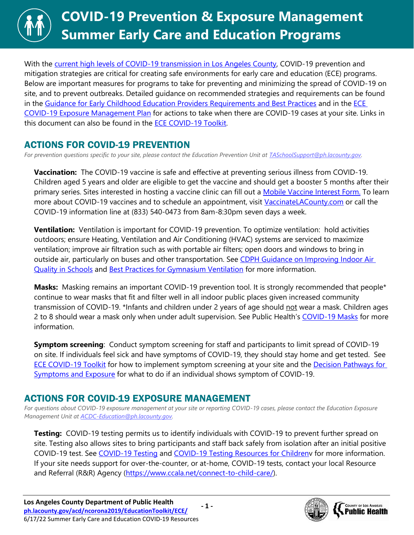

With the [current high levels of COVID-19 transmission in Los Angeles County,](http://publichealth.lacounty.gov/media/Coronavirus/data/post-surge-dashboard.htm) COVID-19 prevention and mitigation strategies are critical for creating safe environments for early care and education (ECE) programs. Below are important measures for programs to take for preventing and minimizing the spread of COVID-19 on site, and to prevent outbreaks. Detailed guidance on recommended strategies and requirements can be found in the [Guidance for Early Childhood Education Providers Requirements and Best Practices](http://publichealth.lacounty.gov/media/coronavirus/docs/education/GuidanceEarlyChildhoodEducation.pdf) and in the ECE [COVID-19 Exposure Management Plan](http://publichealth.lacounty.gov/media/coronavirus/docs/protocols/ExposureManagementPlan_ECE.pdf) for actions to take when there are COVID-19 cases at your site. Links in this document can also be found in the [ECE COVID-19 Toolkit.](http://ph.lacounty.gov/acd/ncorona2019/EducationToolkit/ECE/)

## ACTIONS FOR COVID-19 PREVENTION

*For prevention questions specific to your site, please contact the Education Prevention Unit at [TASchoolSupport@ph.lacounty.gov.](mailto:TASchoolSupport@ph.lacounty.gov)*

**Vaccination:** The COVID-19 vaccine is safe and effective at preventing serious illness from COVID-19. Children aged 5 years and older are eligible to get the vaccine and should get a booster 5 months after their primary series. Sites interested in hosting a vaccine clinic can fill out a [Mobile Vaccine Interest Form.](https://forms.office.com/Pages/ResponsePage.aspx?id=SHJZBzjqG0WKvqY47dusgRhkHSYxz5JKiyxHrBS9oFNURDVOVjNMTlFOTDMzTVBESktZU1g5VTExOS4u) To learn more about COVID-19 vaccines and to schedule an appointment, visit [VaccinateLACounty.com](http://www.publichealth.lacounty.gov/media/Coronavirus/vaccine/index.htm) or call the COVID-19 information line at (833) 540-0473 from 8am-8:30pm seven days a week.

**Ventilation:** Ventilation is important for COVID-19 prevention. To optimize ventilation: hold activities outdoors; ensure Heating, Ventilation and Air Conditioning (HVAC) systems are serviced to maximize ventilation; improve air filtration such as with portable air filters; open doors and windows to bring in outside air, particularly on buses and other transportation. See CDPH Guidance on Improving Indoor Air [Quality in Schools](https://www.cdph.ca.gov/Programs/CID/DCDC/Pages/COVID-19/COVID-19-and-Improving-Indoor-Air-Quality-in-Schools.aspx) and [Best Practices for Gymnasium Ventilation](http://publichealth.lacounty.gov/acd/ncorona2019/docs/GymVentilationGuidance.pdf) for more information.

**Masks:** Masking remains an important COVID-19 prevention tool. It is strongly recommended that people\* continue to wear masks that fit and filter well in all indoor public places given increased community transmission of COVID-19. \*Infants and children under 2 years of age should not wear a mask. Children ages 2 to 8 should wear a mask only when under adult supervision. See Public Health's [COVID-19 Masks](http://publichealth.lacounty.gov/acd/ncorona2019/masks/) for more information.

**Symptom screening**: Conduct symptom screening for staff and participants to limit spread of COVID-19 on site. If individuals feel sick and have symptoms of COVID-19, they should stay home and get tested. See [ECE COVID-19 Toolkit](http://ph.lacounty.gov/acd/ncorona2019/EducationToolkit/ECE/) for how to implement symptom screening at your site and the [Decision Pathways for](http://publichealth.lacounty.gov/media/coronavirus/docs/education/ScreeningEducationSettings.pdf)  [Symptoms and Exposure](http://publichealth.lacounty.gov/media/coronavirus/docs/education/ScreeningEducationSettings.pdf) for what to do if an individual shows symptom of COVID-19.

## ACTIONS FOR COVID-19 EXPOSURE MANAGEMENT

*For questions about COVID-19 exposure management at your site or reporting COVID-19 cases, please contact the Education Exposure Management Unit at [ACDC-Education@ph.lacounty.gov.](mailto:ACDC-Education@ph.lacounty.gov)*

**Testing:** COVID-19 testing permits us to identify individuals with COVID-19 to prevent further spread on site. Testing also allows sites to bring participants and staff back safely from isolation after an initial positive COVID-19 test. See [COVID-19 Testing](http://publichealth.lacounty.gov/acd/ncorona2019/covidtests/) and [COVID-19 Testing Resources for Childrenv](http://publichealth.lacounty.gov/acd/ncorona2019/docs/childrentestingresources.pdf) for more information. If your site needs support for over-the-counter, or at-home, COVID-19 tests, contact your local Resource and Referral (R&R) Agency [\(https://www.ccala.net/connect-to-child-care/\)](https://www.ccala.net/connect-to-child-care/).